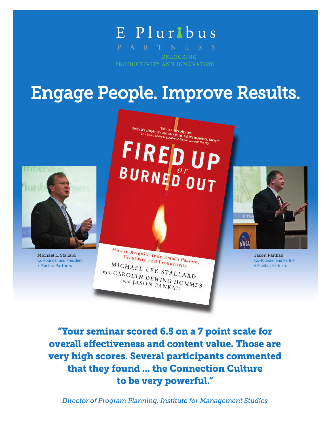# E Plurlbus

PRODUCTIVITY AND INNOVATION

# Engage People. Improve Results.



Michael L. Stallard Co-founder and President E Pluribus Partners

While it's simple, it's not easy to do, but it's important, Hurry!"<br>Seth Godin, bestselling author of *Purple Cow* and  $The Di\rho$ . FIREL BURNED 0 U T



Jason Pankau Co-founder and Partner E Pluribus Partners

"Your seminar scored 6.5 on a 7 point scale for overall effectiveness and content value. Those are very high scores. Several participants commented that they found ... the Connection Culture to be very powerful."

How to Reignite Your Team's Passion,<br>Creativity, and Productivity Creativity, and Productivity MICHAEL LEE STALLARD With CAROLYN DEWING-HOMMES and JASON PANKAU

*Director of Program Planning, Institute for Management Studies*